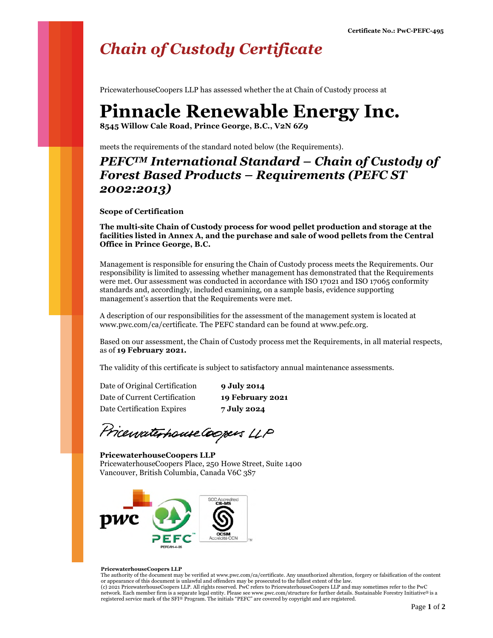## *Chain of Custody Certificate*

PricewaterhouseCoopers LLP has assessed whether the at Chain of Custody process at

## **Pinnacle Renewable Energy Inc.**

**8545 Willow Cale Road, Prince George, B.C., V2N 6Z9** 

meets the requirements of the standard noted below (the Requirements).

### *PEFCTM International Standard – Chain of Custody of Forest Based Products – Requirements (PEFC ST 2002:2013)*

**Scope of Certification**

**The multi-site Chain of Custody process for wood pellet production and storage at the facilities listed in Annex A, and the purchase and sale of wood pellets from the Central Office in Prince George, B.C.**

Management is responsible for ensuring the Chain of Custody process meets the Requirements. Our responsibility is limited to assessing whether management has demonstrated that the Requirements were met. Our assessment was conducted in accordance with ISO 17021 and ISO 17065 conformity standards and, accordingly, included examining, on a sample basis, evidence supporting management's assertion that the Requirements were met.

A description of our responsibilities for the assessment of the management system is located at www.pwc.com/ca/certificate. The PEFC standard can be found at www.pefc.org.

Based on our assessment, the Chain of Custody process met the Requirements, in all material respects, as of **19 February 2021.**

The validity of this certificate is subject to satisfactory annual maintenance assessments.

Date of Original Certification **9 July 2014** Date of Current Certification **19 February 2021** Date Certification Expires **7 July 2024**

Pricewaterhouse Coopers LLP

**PricewaterhouseCoopers LLP** PricewaterhouseCoopers Place, 250 Howe Street, Suite 1400 Vancouver, British Columbia, Canada V6C 3S7



#### **PricewaterhouseCoopers LLP**

The authority of the document may be verified at www.pwc.com/ca/certificate. Any unauthorized alteration, forgery or falsification of the content or appearance of this document is unlawful and offenders may be prosecuted to the fullest extent of the law. (c) 2021 PricewaterhouseCoopers LLP. All rights reserved. PwC refers to PricewaterhouseCoopers LLP and may sometimes refer to the PwC network. Each member firm is a separate legal entity. Please see www.pwc.com/structure for further details. Sustainable Forestry Initiative® is a registered service mark of the SFI® Program. The initials "PEFC" are covered by copyright and are registered.